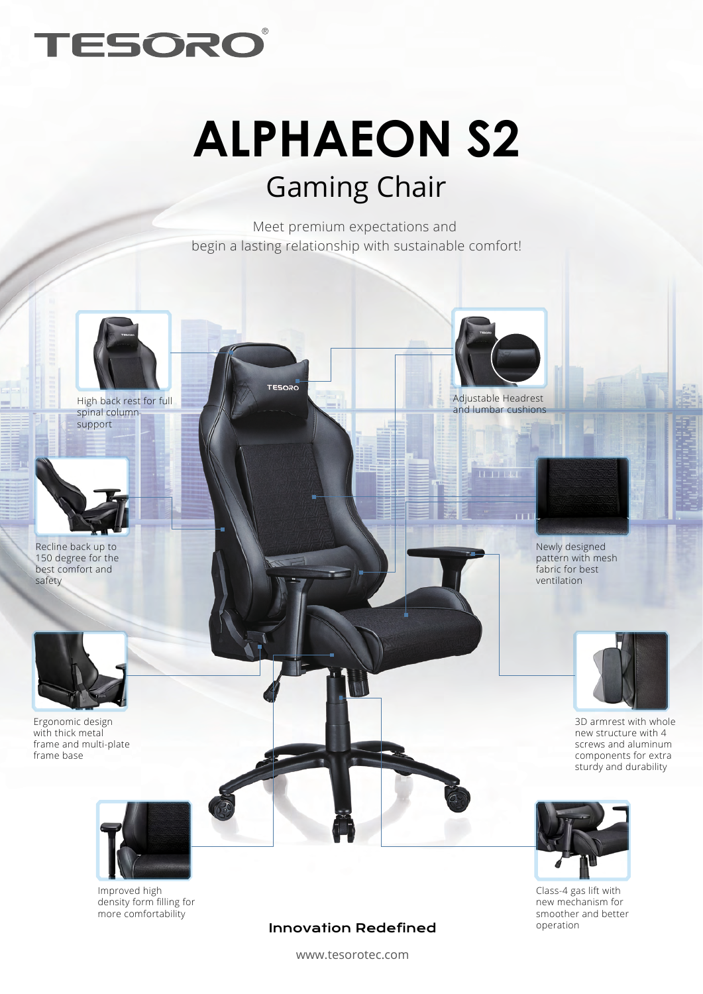

## **ALPHAEON S2** Gaming Chair

Meet premium expectations and begin a lasting relationship with sustainable comfort!

**TESORO** 



High back rest for full spinal column support



Recline back up to 150 degree for the best comfort and safety



Ergonomic design with thick metal frame and multi-plate frame base



Improved high density form filling for more comfortability



**H.T.L.L.** 

Newly designed pattern with mesh fabric for best ventilation



3D armrest with whole new structure with 4 screws and aluminum components for extra sturdy and durability



Class-4 gas lift with new mechanism for smoother and better operation

## Innovation Redefined

www.tesorotec.com